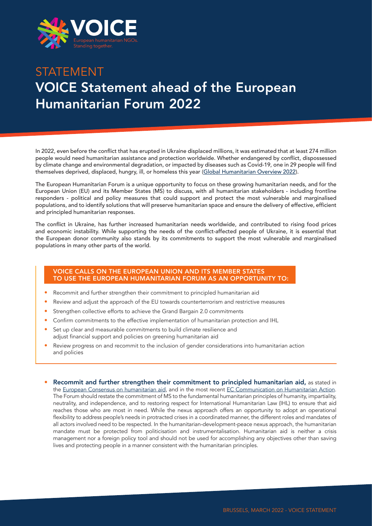

## STATEMENT VOICE Statement ahead of the European Humanitarian Forum 2022

In 2022, even before the conflict that has erupted in Ukraine displaced millions, it was estimated that at least 274 million people would need humanitarian assistance and protection worldwide. Whether endangered by conflict, dispossessed by climate change and environmental degradation, or impacted by diseases such as Covid-19, one in 29 people will find themselves deprived, displaced, hungry, ill, or homeless this year ([Global Humanitarian Overview 2022](https://gho.unocha.org/)).

The European Humanitarian Forum is a unique opportunity to focus on these growing humanitarian needs, and for the European Union (EU) and its Member States (MS) to discuss, with all humanitarian stakeholders - including frontline responders - political and policy measures that could support and protect the most vulnerable and marginalised populations, and to identify solutions that will preserve humanitarian space and ensure the delivery of effective, efficient and principled humanitarian responses.

The conflict in Ukraine, has further increased humanitarian needs worldwide, and contributed to rising food prices and economic instability. While supporting the needs of the conflict-affected people of Ukraine, it is essential that the European donor community also stands by its commitments to support the most vulnerable and marginalised populations in many other parts of the world.

## VOICE CALLS ON THE EUROPEAN UNION AND ITS MEMBER STATES TO USE THE EUROPEAN HUMANITARIAN FORUM AS AN OPPORTUNITY TO:

- Recommit and further strengthen their commitment to principled humanitarian aid
- Review and adjust the approach of the EU towards counterterrorism and restrictive measures
- Strengthen collective efforts to achieve the Grand Bargain 2.0 commitments
- Confirm commitments to the effective implementation of humanitarian protection and IHL
- Set up clear and measurable commitments to build climate resilience and adjust financial support and policies on greening humanitarian aid
- Review progress on and recommit to the inclusion of gender considerations into humanitarian action and policies
- Recommit and further strengthen their commitment to principled humanitarian aid, as stated in the [European Consensus on humanitarian aid](https://ec.europa.eu/echo/files/media/publications/consensus_en.pdf), and in the most recent [EC Communication on Humanitarian Action](https://ec.europa.eu/echo/files/aid/hacommunication2021.pdf). The Forum should restate the commitment of MS to the fundamental humanitarian principles of humanity, impartiality, neutrality, and independence, and to restoring respect for International Humanitarian Law (IHL) to ensure that aid reaches those who are most in need. While the nexus approach offers an opportunity to adopt an operational flexibility to address people's needs in protracted crises in a coordinated manner, the different roles and mandates of all actors involved need to be respected. In the humanitarian-development-peace nexus approach, the humanitarian mandate must be protected from politicisation and instrumentalisation. Humanitarian aid is neither a crisis management nor a foreign policy tool and should not be used for accomplishing any objectives other than saving lives and protecting people in a manner consistent with the humanitarian principles.